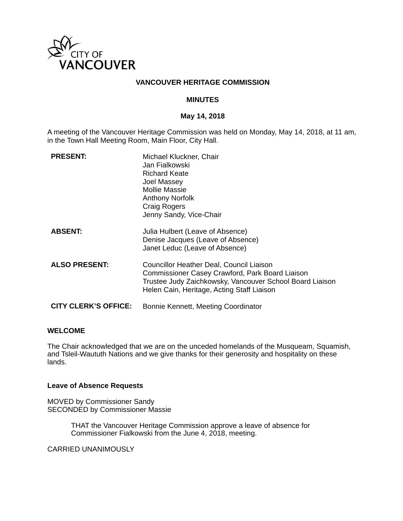

### **VANCOUVER HERITAGE COMMISSION**

#### **MINUTES**

#### **May 14, 2018**

A meeting of the Vancouver Heritage Commission was held on Monday, May 14, 2018, at 11 am, in the Town Hall Meeting Room, Main Floor, City Hall.

| <b>PRESENT:</b>             | Michael Kluckner, Chair<br>Jan Fialkowski<br>Richard Keate<br><b>Joel Massey</b><br><b>Mollie Massie</b><br><b>Anthony Norfolk</b><br>Craig Rogers<br>Jenny Sandy, Vice-Chair                         |
|-----------------------------|-------------------------------------------------------------------------------------------------------------------------------------------------------------------------------------------------------|
| <b>ABSENT:</b>              | Julia Hulbert (Leave of Absence)<br>Denise Jacques (Leave of Absence)<br>Janet Leduc (Leave of Absence)                                                                                               |
| <b>ALSO PRESENT:</b>        | Councillor Heather Deal, Council Liaison<br>Commissioner Casey Crawford, Park Board Liaison<br>Trustee Judy Zaichkowsky, Vancouver School Board Liaison<br>Helen Cain, Heritage, Acting Staff Liaison |
| <b>CITY CLERK'S OFFICE:</b> | Bonnie Kennett, Meeting Coordinator                                                                                                                                                                   |

#### **WELCOME**

The Chair acknowledged that we are on the unceded homelands of the Musqueam, Squamish, and Tsleil-Waututh Nations and we give thanks for their generosity and hospitality on these lands.

#### **Leave of Absence Requests**

MOVED by Commissioner Sandy SECONDED by Commissioner Massie

> THAT the Vancouver Heritage Commission approve a leave of absence for Commissioner Fialkowski from the June 4, 2018, meeting.

CARRIED UNANIMOUSLY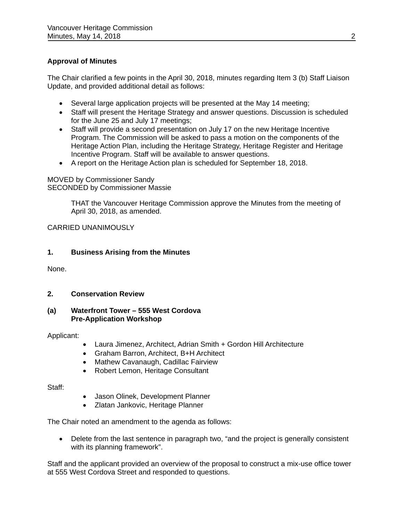# **Approval of Minutes**

The Chair clarified a few points in the April 30, 2018, minutes regarding Item 3 (b) Staff Liaison Update, and provided additional detail as follows:

- Several large application projects will be presented at the May 14 meeting;
- Staff will present the Heritage Strategy and answer questions. Discussion is scheduled for the June 25 and July 17 meetings;
- Staff will provide a second presentation on July 17 on the new Heritage Incentive Program. The Commission will be asked to pass a motion on the components of the Heritage Action Plan, including the Heritage Strategy, Heritage Register and Heritage Incentive Program. Staff will be available to answer questions.
- A report on the Heritage Action plan is scheduled for September 18, 2018.

### MOVED by Commissioner Sandy SECONDED by Commissioner Massie

THAT the Vancouver Heritage Commission approve the Minutes from the meeting of April 30, 2018, as amended.

CARRIED UNANIMOUSLY

## **1. Business Arising from the Minutes**

None.

## **2. Conservation Review**

### **(a) Waterfront Tower – 555 West Cordova Pre-Application Workshop**

Applicant:

- Laura Jimenez, Architect, Adrian Smith + Gordon Hill Architecture
- Graham Barron, Architect, B+H Architect
- Mathew Cavanaugh, Cadillac Fairview
- Robert Lemon, Heritage Consultant

Staff:

- Jason Olinek, Development Planner
- Zlatan Jankovic, Heritage Planner

The Chair noted an amendment to the agenda as follows:

• Delete from the last sentence in paragraph two, "and the project is generally consistent with its planning framework".

Staff and the applicant provided an overview of the proposal to construct a mix-use office tower at 555 West Cordova Street and responded to questions.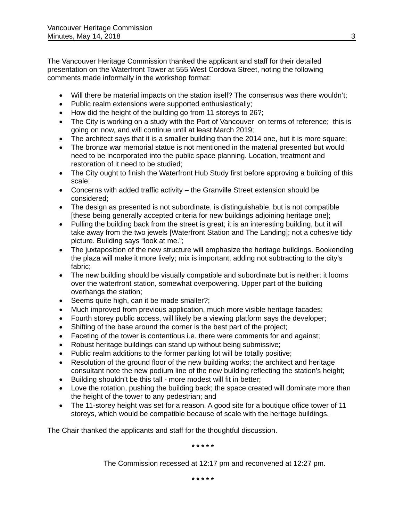The Vancouver Heritage Commission thanked the applicant and staff for their detailed presentation on the Waterfront Tower at 555 West Cordova Street, noting the following comments made informally in the workshop format:

- Will there be material impacts on the station itself? The consensus was there wouldn't;
- Public realm extensions were supported enthusiastically;
- How did the height of the building go from 11 storeys to 26?;
- The City is working on a study with the Port of Vancouver on terms of reference; this is going on now, and will continue until at least March 2019;
- The architect says that it is a smaller building than the 2014 one, but it is more square;
- The bronze war memorial statue is not mentioned in the material presented but would need to be incorporated into the public space planning. Location, treatment and restoration of it need to be studied;
- The City ought to finish the Waterfront Hub Study first before approving a building of this scale;
- Concerns with added traffic activity the Granville Street extension should be considered;
- The design as presented is not subordinate, is distinguishable, but is not compatible [these being generally accepted criteria for new buildings adjoining heritage one];
- Pulling the building back from the street is great; it is an interesting building, but it will take away from the two jewels [Waterfront Station and The Landing]; not a cohesive tidy picture. Building says "look at me.";
- The juxtaposition of the new structure will emphasize the heritage buildings. Bookending the plaza will make it more lively; mix is important, adding not subtracting to the city's fabric;
- The new building should be visually compatible and subordinate but is neither: it looms over the waterfront station, somewhat overpowering. Upper part of the building overhangs the station;
- Seems quite high, can it be made smaller?;
- Much improved from previous application, much more visible heritage facades;
- Fourth storey public access, will likely be a viewing platform says the developer;
- Shifting of the base around the corner is the best part of the project;
- Faceting of the tower is contentious i.e. there were comments for and against;
- Robust heritage buildings can stand up without being submissive;
- Public realm additions to the former parking lot will be totally positive;
- Resolution of the ground floor of the new building works; the architect and heritage consultant note the new podium line of the new building reflecting the station's height;
- Building shouldn't be this tall more modest will fit in better;
- Love the rotation, pushing the building back; the space created will dominate more than the height of the tower to any pedestrian; and
- The 11-storey height was set for a reason. A good site for a boutique office tower of 11 storeys, which would be compatible because of scale with the heritage buildings.

The Chair thanked the applicants and staff for the thoughtful discussion.

**\* \* \* \* \*** 

The Commission recessed at 12:17 pm and reconvened at 12:27 pm.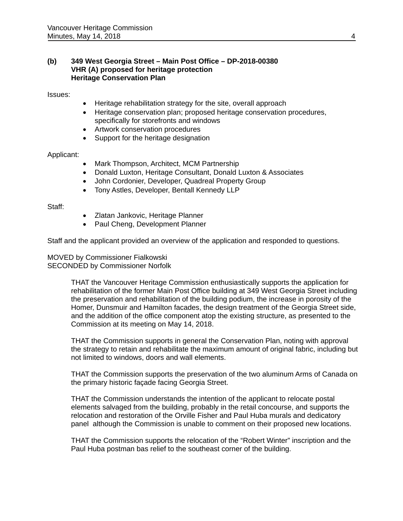### **(b) 349 West Georgia Street – Main Post Office – DP-2018-00380 VHR (A) proposed for heritage protection Heritage Conservation Plan**

Issues:

- Heritage rehabilitation strategy for the site, overall approach
- Heritage conservation plan; proposed heritage conservation procedures, specifically for storefronts and windows
- Artwork conservation procedures
- Support for the heritage designation

### Applicant:

- Mark Thompson, Architect, MCM Partnership
- Donald Luxton, Heritage Consultant, Donald Luxton & Associates
- John Cordonier, Developer, Quadreal Property Group
- Tony Astles, Developer, Bentall Kennedy LLP

Staff:

- Zlatan Jankovic, Heritage Planner
- Paul Cheng, Development Planner

Staff and the applicant provided an overview of the application and responded to questions.

MOVED by Commissioner Fialkowski SECONDED by Commissioner Norfolk

> THAT the Vancouver Heritage Commission enthusiastically supports the application for rehabilitation of the former Main Post Office building at 349 West Georgia Street including the preservation and rehabilitation of the building podium, the increase in porosity of the Homer, Dunsmuir and Hamilton facades, the design treatment of the Georgia Street side, and the addition of the office component atop the existing structure, as presented to the Commission at its meeting on May 14, 2018.

> THAT the Commission supports in general the Conservation Plan, noting with approval the strategy to retain and rehabilitate the maximum amount of original fabric, including but not limited to windows, doors and wall elements.

> THAT the Commission supports the preservation of the two aluminum Arms of Canada on the primary historic façade facing Georgia Street.

THAT the Commission understands the intention of the applicant to relocate postal elements salvaged from the building, probably in the retail concourse, and supports the relocation and restoration of the Orville Fisher and Paul Huba murals and dedicatory panel although the Commission is unable to comment on their proposed new locations.

THAT the Commission supports the relocation of the "Robert Winter" inscription and the Paul Huba postman bas relief to the southeast corner of the building.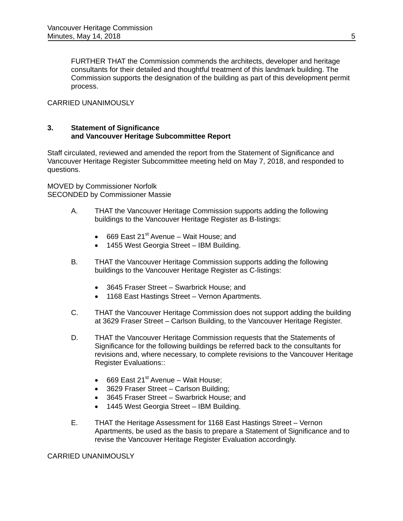FURTHER THAT the Commission commends the architects, developer and heritage consultants for their detailed and thoughtful treatment of this landmark building. The Commission supports the designation of the building as part of this development permit process.

## CARRIED UNANIMOUSLY

### **3. Statement of Significance and Vancouver Heritage Subcommittee Report**

Staff circulated, reviewed and amended the report from the Statement of Significance and Vancouver Heritage Register Subcommittee meeting held on May 7, 2018, and responded to questions.

MOVED by Commissioner Norfolk SECONDED by Commissioner Massie

- A. THAT the Vancouver Heritage Commission supports adding the following buildings to the Vancouver Heritage Register as B-listings:
	- $\bullet$  669 East 21<sup>st</sup> Avenue Wait House; and
	- 1455 West Georgia Street IBM Building.
- B. THAT the Vancouver Heritage Commission supports adding the following buildings to the Vancouver Heritage Register as C-listings:
	- 3645 Fraser Street Swarbrick House; and
	- 1168 East Hastings Street Vernon Apartments.
- C. THAT the Vancouver Heritage Commission does not support adding the building at 3629 Fraser Street – Carlson Building, to the Vancouver Heritage Register.
- D. THAT the Vancouver Heritage Commission requests that the Statements of Significance for the following buildings be referred back to the consultants for revisions and, where necessary, to complete revisions to the Vancouver Heritage Register Evaluations::
	- $\bullet$  669 East 21<sup>st</sup> Avenue Wait House;
	- 3629 Fraser Street Carlson Building;
	- 3645 Fraser Street Swarbrick House; and
	- 1445 West Georgia Street IBM Building.
- E. THAT the Heritage Assessment for 1168 East Hastings Street Vernon Apartments, be used as the basis to prepare a Statement of Significance and to revise the Vancouver Heritage Register Evaluation accordingly.

CARRIED UNANIMOUSLY